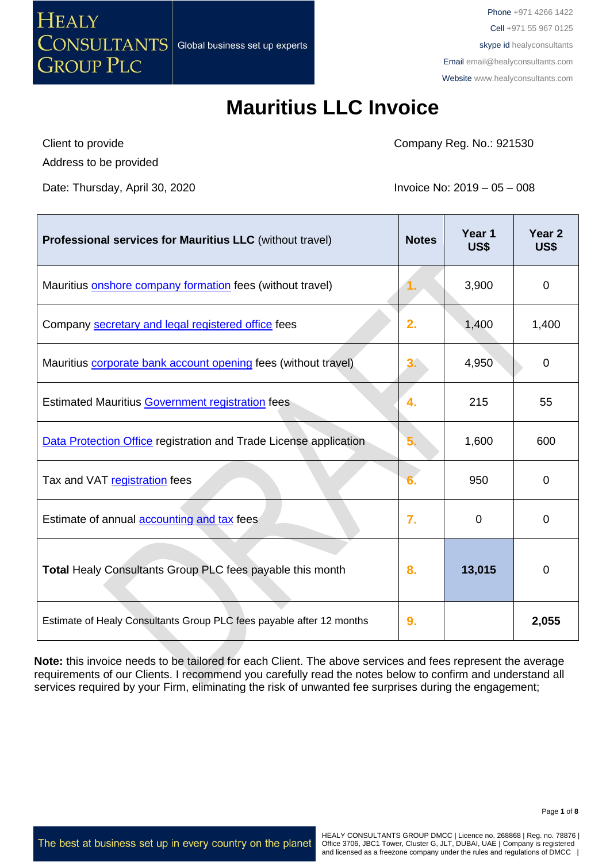

# **Mauritius LLC Invoice**

Client to provide

Company Reg. No.: 921530

Address to be provided

Date: Thursday, April 30, 2020 **Invoice No: 2019** – 05 – 008

| <b>Professional services for Mauritius LLC</b> (without travel)      | <b>Notes</b> | Year 1<br>US\$ | Year <sub>2</sub><br>US\$ |
|----------------------------------------------------------------------|--------------|----------------|---------------------------|
| Mauritius onshore company formation fees (without travel)            | ι.           | 3,900          | $\mathbf 0$               |
| Company secretary and legal registered office fees                   | 2.           | 1,400          | 1,400                     |
| Mauritius corporate bank account opening fees (without travel)       | 3.           | 4,950          | 0                         |
| <b>Estimated Mauritius Government registration fees</b>              | 4.           | 215            | 55                        |
| Data Protection Office registration and Trade License application    | 5.           | 1,600          | 600                       |
| Tax and VAT registration fees                                        |              | 950            | $\mathbf 0$               |
| Estimate of annual <b>accounting and tax</b> fees                    | 7.           | $\Omega$       | 0                         |
| Total Healy Consultants Group PLC fees payable this month            | 8.           | 13,015         | $\mathbf 0$               |
| Estimate of Healy Consultants Group PLC fees payable after 12 months | 9.           |                | 2,055                     |

**Note:** this invoice needs to be tailored for each Client. The above services and fees represent the average requirements of our Clients. I recommend you carefully read the notes below to confirm and understand all services required by your Firm, eliminating the risk of unwanted fee surprises during the engagement;

The best at business set up in every country on the planet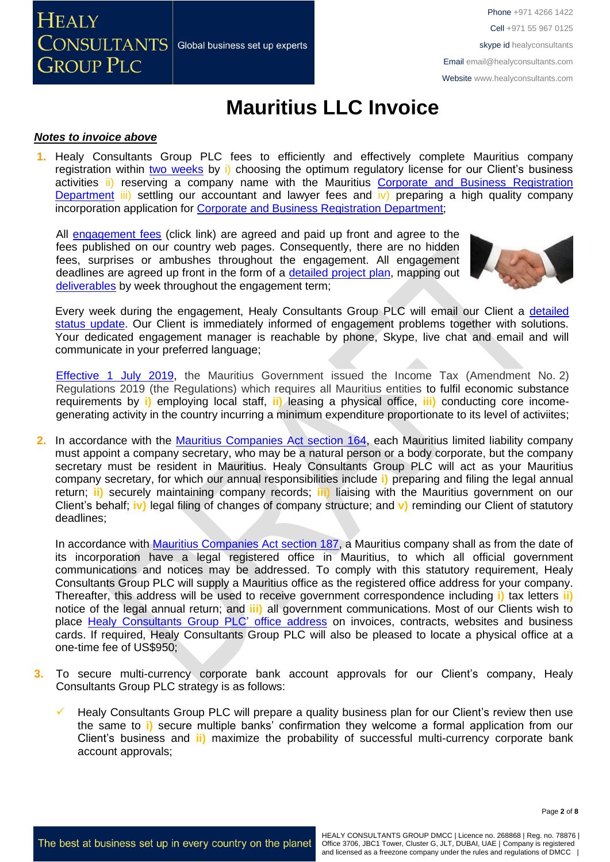**HEALY**  $\overline{\text{CONSULTANTS}}{}|$  Global business set up experts **GROUP PLC** 

Phone +971 4266 1422 Cell +971 55 967 0125 skype id healyconsultants Email [email@healyconsultants.com](mailto:EMAIL@HEALYCONSULTANTS.COM) Website [www.healyconsultants.com](http://www.healyconsultants.com/)

# **Mauritius LLC Invoice**

### *Notes to invoice above*

**1.** Healy Consultants Group PLC fees to efficiently and effectively complete Mauritius company registration within two [weeks](http://www.healyconsultants.com/mauritius-company-registration/fees-timelines/) by i) choosing the optimum regulatory license for our Client's business activities ii) reserving a company name with the Mauritius Corporate and Business Registration [Department](../../../Downloads/companies.govmu.org/) iii) settling our accountant and lawyer fees and iv) preparing a high quality company incorporation application for [Corporate and Business Registration Department;](file://///DISKSTATION/SharedFolder/CRO%20Jurisdictions/Africa/Mauritius/Invoice/latest%20invoice/companies.govmu.org/)

All [engagement fees](http://www.healyconsultants.com/company-registration-fees/) (click link) are agreed and paid up front and agree to the fees published on our country web pages. Consequently, there are no hidden fees, surprises or ambushes throughout the engagement. All engagement deadlines are agreed up front in the form of a [detailed project](http://www.healyconsultants.com/index-important-links/example-project-plan/) plan, mapping out [deliverables](http://www.healyconsultants.com/deliverables-to-our-clients/) by week throughout the engagement term;



Every week during the engagement, Healy Consultants Group PLC will email our Client a [detailed](http://www.healyconsultants.com/index-important-links/weekly-engagement-status-email/)  [status update.](http://www.healyconsultants.com/index-important-links/weekly-engagement-status-email/) Our Client is immediately informed of engagement problems together with solutions. Your dedicated engagement manager is reachable by phone, Skype, live chat and email and will communicate in your preferred language;

[Effective 1 July](https://www.ey.com/gl/en/services/tax/international-tax/alert--mauritius-issues-regulations-on-substance-requirements-and-computation-of-income-for-cfc-purposes) 2019, the Mauritius Government issued the Income Tax (Amendment No. 2) Regulations 2019 (the Regulations) which requires all Mauritius entities to fulfil economic substance requirements by **i)** employing local staff, **ii)** leasing a physical office, **iii)** conducting core incomegenerating activity in the country incurring a minimum expenditure proportionate to its level of activiites;

**2.** In accordance with the [Mauritius Companies Act section 164,](http://www.tridenttrust.com/pdfs/mau_comp_act_2001.pdf) each Mauritius limited liability company must appoint a company secretary, who may be a natural person or a body corporate, but the company secretary must be resident in Mauritius. Healy Consultants Group PLC will act as your Mauritius company secretary, for which our annual responsibilities include **i)** preparing and filing the legal annual return; **ii)** securely maintaining company records; **iii)** liaising with the Mauritius government on our Client's behalf; **iv)** legal filing of changes of company structure; and **v)** reminding our Client of statutory deadlines;

In accordance with [Mauritius Companies Act section 187,](http://www.tridenttrust.com/pdfs/mau_comp_act_2001.pdf) a Mauritius company shall as from the date of its incorporation have a legal registered office in Mauritius, to which all official government communications and notices may be addressed. To comply with this statutory requirement, Healy Consultants Group PLC will supply a Mauritius office as the registered office address for your company. Thereafter, this address will be used to receive government correspondence including **i)** tax letters **ii)** notice of the legal annual return; and **iii)** all government communications. Most of our Clients wish to place [Healy Consultants Group PLC'](http://www.healyconsultants.com/corporate-outsourcing-services/company-secretary-and-legal-registered-office/) office address on invoices, contracts, websites and business cards. If required, Healy Consultants Group PLC will also be pleased to locate a physical office at a one-time fee of US\$950;

- **3.** To secure multi-currency corporate bank account approvals for our Client's company, Healy Consultants Group PLC strategy is as follows:
	- Healy Consultants Group PLC will prepare a quality business plan for our Client's review then use the same to **i)** secure multiple banks' confirmation they welcome a formal application from our Client's business and **ii)** maximize the probability of successful multi-currency corporate bank account approvals;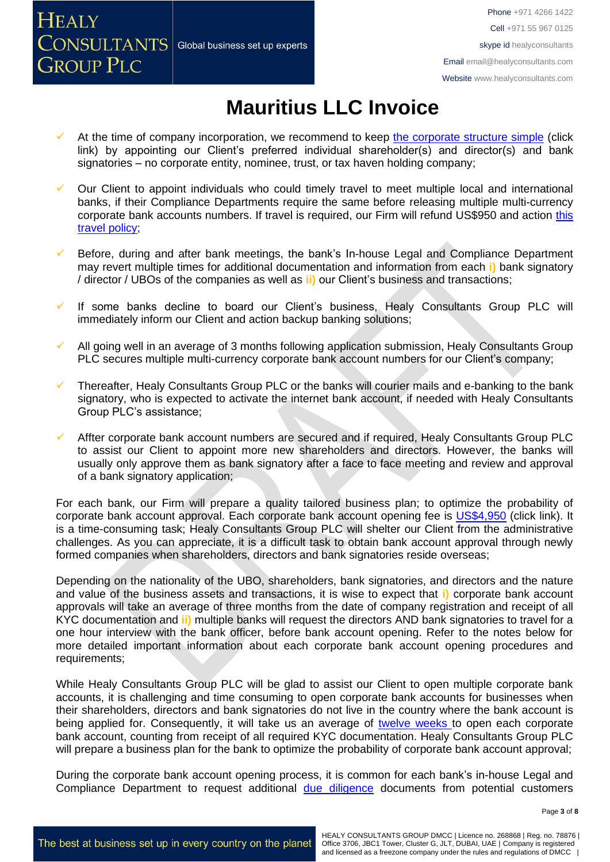

# **Mauritius LLC Invoice**

- At the time of company incorporation, we recommend to keep [the corporate structure simple](https://www.healyconsultants.com/about-us/complex-client-engagements/simplify-business-setup/) (click link) by appointing our Client's preferred individual shareholder(s) and director(s) and bank signatories – no corporate entity, nominee, trust, or tax haven holding company;
- Our Client to appoint individuals who could timely travel to meet multiple local and international banks, if their Compliance Departments require the same before releasing multiple multi-currency corporate bank accounts numbers. If travel is required, our Firm will refund US\$950 and action [this](https://www.healyconsultants.com/international-banking/corporate-accounts/meet-bank-officer/)  [travel policy;](https://www.healyconsultants.com/international-banking/corporate-accounts/meet-bank-officer/)
- Before, during and after bank meetings, the bank's In-house Legal and Compliance Department may revert multiple times for additional documentation and information from each **i)** bank signatory / director / UBOs of the companies as well as **ii)** our Client's business and transactions;
- If some banks decline to board our Client's business, Healy Consultants Group PLC will immediately inform our Client and action backup banking solutions;
- All going well in an average of 3 months following application submission, Healy Consultants Group PLC secures multiple multi-currency corporate bank account numbers for our Client's company;
- Thereafter, Healy Consultants Group PLC or the banks will courier mails and e-banking to the bank signatory, who is expected to activate the internet bank account, if needed with Healy Consultants Group PLC's assistance;
- Affter corporate bank account numbers are secured and if required, Healy Consultants Group PLC to assist our Client to appoint more new shareholders and directors. However, the banks will usually only approve them as bank signatory after a face to face meeting and review and approval of a bank signatory application;

For each bank, our Firm will prepare a quality tailored business plan; to optimize the probability of corporate bank account approval. Each corporate bank account opening fee is [US\\$4,950](https://www.healyconsultants.com/corporate-banking-services/guaranteed-corporate-bank-account-approvals/) (click link). It is a time-consuming task; Healy Consultants Group PLC will shelter our Client from the administrative challenges. As you can appreciate, it is a difficult task to obtain bank account approval through newly formed companies when shareholders, directors and bank signatories reside overseas;

Depending on the nationality of the UBO, shareholders, bank signatories, and directors and the nature and value of the business assets and transactions, it is wise to expect that **i)** corporate bank account approvals will take an average of three months from the date of company registration and receipt of all KYC documentation and **ii)** multiple banks will request the directors AND bank signatories to travel for a one hour interview with the bank officer, before bank account opening. Refer to the notes below for more detailed important information about each corporate bank account opening procedures and requirements;

While Healy Consultants Group PLC will be glad to assist our Client to open multiple corporate bank accounts, it is challenging and time consuming to open corporate bank accounts for businesses when their shareholders, directors and bank signatories do not live in the country where the bank account is being applied for. Consequently, it will take us an average of [twelve weeks](http://www.healyconsultants.com/international-banking/bitcoin-business-bank-account/) to open each corporate bank account, counting from receipt of all required KYC documentation. Healy Consultants Group PLC will prepare a business plan for the bank to optimize the probability of corporate bank account approval;

During the corporate bank account opening process, it is common for each bank's in-house Legal and Compliance Department to request additional [due diligence](http://www.healyconsultants.com/due-diligence/) documents from potential customers

**HEALY** 

**GROUP PLC** 

 $\sqrt{\text{CNNULTANTS}}$  Global business set up experts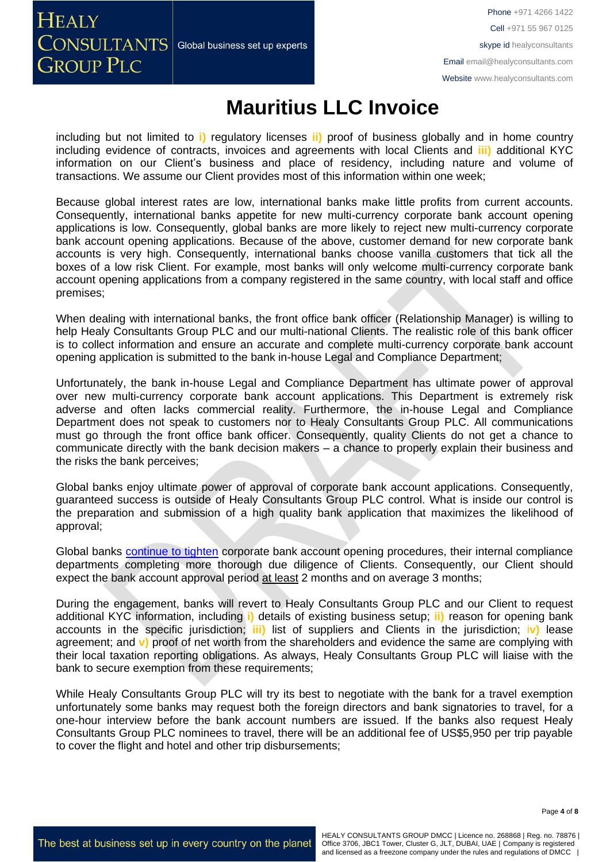**HEALY**  $\overline{\text{CONSULTANTS}}{}|$  Global business set up experts **GROUP PLC** 

### **Mauritius LLC Invoice**

including but not limited to **i)** regulatory licenses **ii)** proof of business globally and in home country including evidence of contracts, invoices and agreements with local Clients and **iii)** additional KYC information on our Client's business and place of residency, including nature and volume of transactions. We assume our Client provides most of this information within one week;

Because global interest rates are low, international banks make little profits from current accounts. Consequently, international banks appetite for new multi-currency corporate bank account opening applications is low. Consequently, global banks are more likely to reject new multi-currency corporate bank account opening applications. Because of the above, customer demand for new corporate bank accounts is very high. Consequently, international banks choose vanilla customers that tick all the boxes of a low risk Client. For example, most banks will only welcome multi-currency corporate bank account opening applications from a company registered in the same country, with local staff and office premises;

When dealing with international banks, the front office bank officer (Relationship Manager) is willing to help Healy Consultants Group PLC and our multi-national Clients. The realistic role of this bank officer is to collect information and ensure an accurate and complete multi-currency corporate bank account opening application is submitted to the bank in-house Legal and Compliance Department;

Unfortunately, the bank in-house Legal and Compliance Department has ultimate power of approval over new multi-currency corporate bank account applications. This Department is extremely risk adverse and often lacks commercial reality. Furthermore, the in-house Legal and Compliance Department does not speak to customers nor to Healy Consultants Group PLC. All communications must go through the front office bank officer. Consequently, quality Clients do not get a chance to communicate directly with the bank decision makers – a chance to properly explain their business and the risks the bank perceives;

Global banks enjoy ultimate power of approval of corporate bank account applications. Consequently, guaranteed success is outside of Healy Consultants Group PLC control. What is inside our control is the preparation and submission of a high quality bank application that maximizes the likelihood of approval;

Global banks [continue to tighten](https://www.healyconsultants.com/international-banking/opening-corporate-bank-accounts/) corporate bank account opening procedures, their internal compliance departments completing more thorough due diligence of Clients. Consequently, our Client should expect the bank account approval period at least 2 months and on average 3 months;

During the engagement, banks will revert to Healy Consultants Group PLC and our Client to request additional KYC information, including **i)** details of existing business setup; **ii)** reason for opening bank accounts in the specific jurisdiction; **iii)** list of suppliers and Clients in the jurisdiction; i**v)** lease agreement; and **v)** proof of net worth from the shareholders and evidence the same are complying with their local taxation reporting obligations. As always, Healy Consultants Group PLC will liaise with the bank to secure exemption from these requirements;

While Healy Consultants Group PLC will try its best to negotiate with the bank for a travel exemption unfortunately some banks may request both the foreign directors and bank signatories to travel, for a one-hour interview before the bank account numbers are issued. If the banks also request Healy Consultants Group PLC nominees to travel, there will be an additional fee of US\$5,950 per trip payable to cover the flight and hotel and other trip disbursements;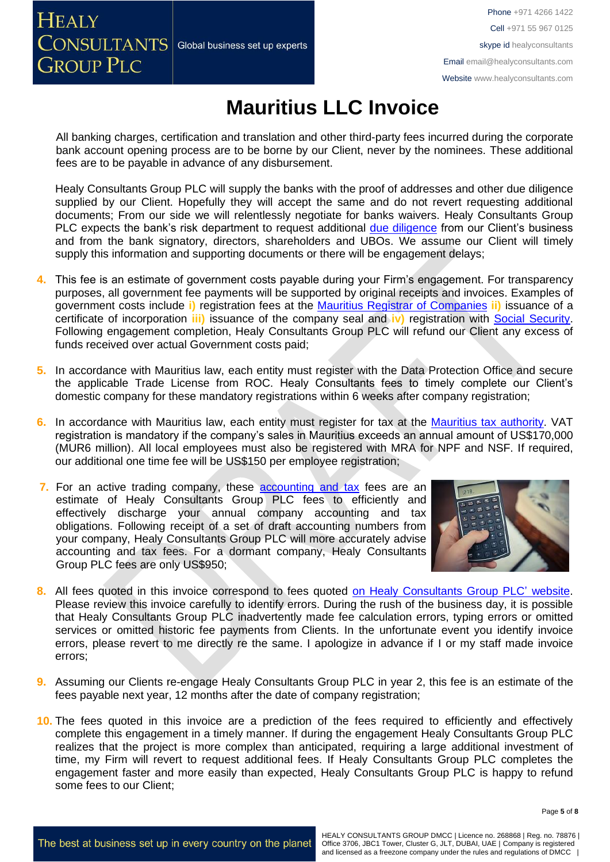

Phone +971 4266 1422 Cell +971 55 967 0125 skype id healyconsultants Email [email@healyconsultants.com](mailto:EMAIL@HEALYCONSULTANTS.COM) Website [www.healyconsultants.com](http://www.healyconsultants.com/)

# **Mauritius LLC Invoice**

All banking charges, certification and translation and other third-party fees incurred during the corporate bank account opening process are to be borne by our Client, never by the nominees. These additional fees are to be payable in advance of any disbursement.

Healy Consultants Group PLC will supply the banks with the proof of addresses and other due diligence supplied by our Client. Hopefully they will accept the same and do not revert requesting additional documents; From our side we will relentlessly negotiate for banks waivers. Healy Consultants Group PLC expects the bank's risk department to request additional [due diligence](http://www.healyconsultants.com/due-diligence/) from our Client's business and from the bank signatory, directors, shareholders and UBOs. We assume our Client will timely supply this information and supporting documents or there will be engagement delays;

- **4.** This fee is an estimate of government costs payable during your Firm's engagement. For transparency purposes, all government fee payments will be supported by original receipts and invoices. Examples of government costs include **i)** registration fees at the [Mauritius Registrar of Companies](http://mns.mu/cbris-companies.php) **ii)** issuance of a certificate of incorporation **iii)** issuance of the company seal and **iv)** registration with [Social Security.](../../../../../../../AppData/Local/Microsoft/Windows/INetCache/Content.Outlook/XRFLDTO1/socialsecurity.gov.mu/) Following engagement completion, Healy Consultants Group PLC will refund our Client any excess of funds received over actual Government costs paid;
- **5.** In accordance with Mauritius law, each entity must register with the Data Protection Office and secure the applicable Trade License from ROC. Healy Consultants fees to timely complete our Client's domestic company for these mandatory registrations within 6 weeks after company registration;
- **6.** In accordance with Mauritius law, each entity must register for tax at the [Mauritius tax authority.](http://www.mra.mu/) VAT registration is mandatory if the company's sales in Mauritius exceeds an annual amount of US\$170,000 (MUR6 million). All local employees must also be registered with MRA for NPF and NSF. If required, our additional one time fee will be US\$150 per employee registration;
- **7.** For an active trading company, these [accounting and tax](http://www.healyconsultants.com/mauritius-company-registration/accounting-legal/) fees are an estimate of Healy Consultants Group PLC fees to efficiently and effectively discharge your annual company accounting and tax obligations. Following receipt of a set of draft accounting numbers from your company, Healy Consultants Group PLC will more accurately advise accounting and tax fees. For a dormant company, Healy Consultants Group PLC fees are only US\$950;



- **8.** All fees quoted in this invoice correspond to fees quoted [on Healy Consultants Group PLC'](http://www.healyconsultants.com/company-registration-fees/) website. Please review this invoice carefully to identify errors. During the rush of the business day, it is possible that Healy Consultants Group PLC inadvertently made fee calculation errors, typing errors or omitted services or omitted historic fee payments from Clients. In the unfortunate event you identify invoice errors, please revert to me directly re the same. I apologize in advance if I or my staff made invoice errors;
- **9.** Assuming our Clients re-engage Healy Consultants Group PLC in year 2, this fee is an estimate of the fees payable next year, 12 months after the date of company registration;
- **10.** The fees quoted in this invoice are a prediction of the fees required to efficiently and effectively complete this engagement in a timely manner. If during the engagement Healy Consultants Group PLC realizes that the project is more complex than anticipated, requiring a large additional investment of time, my Firm will revert to request additional fees. If Healy Consultants Group PLC completes the engagement faster and more easily than expected, Healy Consultants Group PLC is happy to refund some fees to our Client;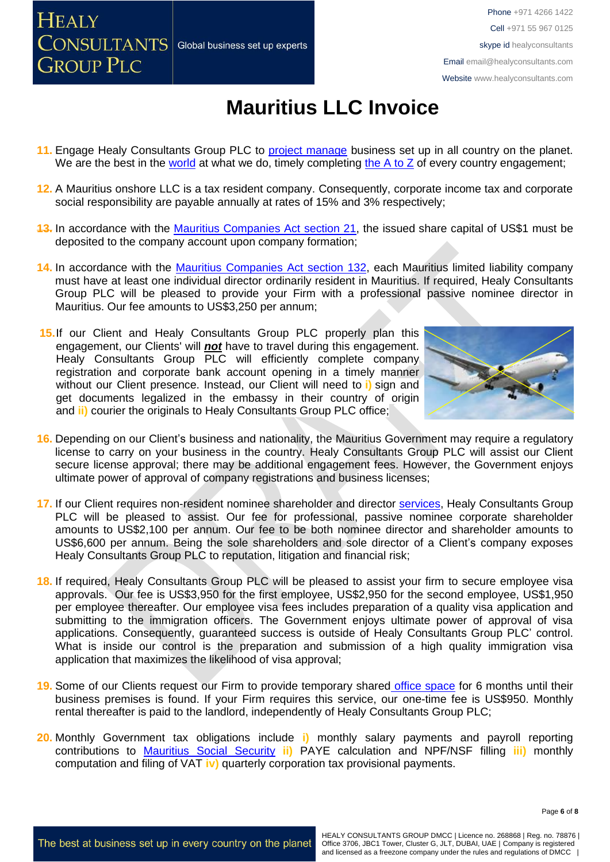**HEALY**  $\left.\text{CONSULTANTS}\right|$  Global business set up experts **GROUP PLC** 

# **Mauritius LLC Invoice**

- 11. Engage Healy Consultants Group PLC to **project manage** business set up in all country on the planet. We are the best in the [world](http://www.healyconsultants.com/best-in-the-world/) at what we do, timely completing the [A to Z](http://www.healyconsultants.com/a-to-z-of-business-set-up/) of every country engagement;
- **12.** A Mauritius onshore LLC is a tax resident company. Consequently, corporate income tax and corporate social responsibility are payable annually at rates of 15% and 3% respectively;
- **13.** In accordance with the [Mauritius Companies Act section 21,](http://www.tridenttrust.com/pdfs/mau_comp_act_2001.pdf) the issued share capital of US\$1 must be deposited to the company account upon company formation;
- **14.** In accordance with the [Mauritius Companies Act section 132,](http://www.tridenttrust.com/pdfs/mau_comp_act_2001.pdf) each Mauritius limited liability company must have at least one individual director ordinarily resident in Mauritius. If required, Healy Consultants Group PLC will be pleased to provide your Firm with a professional passive nominee director in Mauritius. Our fee amounts to US\$3,250 per annum;
- **15.**If our Client and Healy Consultants Group PLC properly plan this engagement, our Clients' will *not* have to travel during this engagement. Healy Consultants Group PLC will efficiently complete company registration and corporate bank account opening in a timely manner without our Client presence. Instead, our Client will need to **i)** sign and get documents legalized in the embassy in their country of origin and **ii)** courier the originals to Healy Consultants Group PLC office:



- **16.** Depending on our Client's business and nationality, the Mauritius Government may require a regulatory license to carry on your business in the country. Healy Consultants Group PLC will assist our Client secure license approval; there may be additional engagement fees. However, the Government enjoys ultimate power of approval of company registrations and business licenses;
- **17.** If our Client requires non-resident nominee shareholder and director [services,](http://www.healyconsultants.com/corporate-outsourcing-services/nominee-shareholders-directors/) Healy Consultants Group PLC will be pleased to assist. Our fee for professional, passive nominee corporate shareholder amounts to US\$2,100 per annum. Our fee to be both nominee director and shareholder amounts to US\$6,600 per annum. Being the sole shareholders and sole director of a Client's company exposes Healy Consultants Group PLC to reputation, litigation and financial risk;
- **18.** If required, Healy Consultants Group PLC will be pleased to assist your firm to secure employee visa approvals. Our fee is US\$3,950 for the first employee, US\$2,950 for the second employee, US\$1,950 per employee thereafter. Our employee visa fees includes preparation of a quality visa application and submitting to the immigration officers. The Government enjoys ultimate power of approval of visa applications. Consequently, guaranteed success is outside of Healy Consultants Group PLC' control. What is inside our control is the preparation and submission of a high quality immigration visa application that maximizes the likelihood of visa approval;
- **19.** Some of our Clients request our Firm to provide temporary shared [office space](http://www.healyconsultants.com/virtual-office/) for 6 months until their business premises is found. If your Firm requires this service, our one-time fee is US\$950. Monthly rental thereafter is paid to the landlord, independently of Healy Consultants Group PLC;
- **20.** Monthly Government tax obligations include **i)** monthly salary payments and payroll reporting contributions to [Mauritius Social Security](../../../../../../../AppData/Local/Microsoft/Windows/INetCache/Content.Outlook/XRFLDTO1/socialsecurity.gov.mu/) **ii)** PAYE calculation and NPF/NSF filling **iii)** monthly computation and filing of VAT **iv)** quarterly corporation tax provisional payments.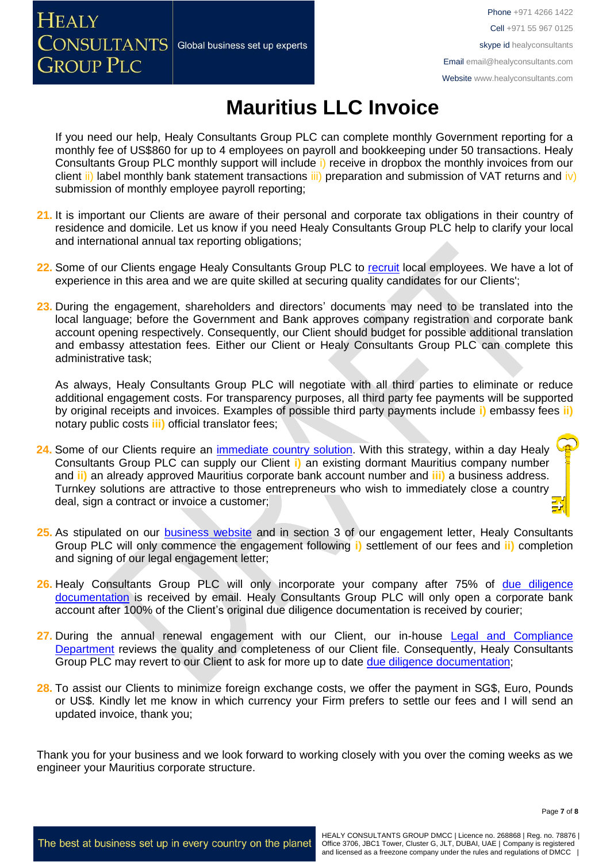

Phone +971 4266 1422 Cell +971 55 967 0125 skype id healyconsultants Email [email@healyconsultants.com](mailto:EMAIL@HEALYCONSULTANTS.COM) Website [www.healyconsultants.com](http://www.healyconsultants.com/)

# **Mauritius LLC Invoice**

If you need our help, Healy Consultants Group PLC can complete monthly Government reporting for a monthly fee of US\$860 for up to 4 employees on payroll and bookkeeping under 50 transactions. Healy Consultants Group PLC monthly support will include i) receive in dropbox the monthly invoices from our client ii) label monthly bank statement transactions iii) preparation and submission of VAT returns and iv) submission of monthly employee payroll reporting;

- **21.** It is important our Clients are aware of their personal and corporate tax obligations in their country of residence and domicile. Let us know if you need Healy Consultants Group PLC help to clarify your local and international annual tax reporting obligations;
- 22. Some of our Clients engage Healy Consultants Group PLC to [recruit](http://www.healyconsultants.com/corporate-outsourcing-services/how-we-help-our-clients-recruit-quality-employees/) local employees. We have a lot of experience in this area and we are quite skilled at securing quality candidates for our Clients';
- **23.** During the engagement, shareholders and directors' documents may need to be translated into the local language; before the Government and Bank approves company registration and corporate bank account opening respectively. Consequently, our Client should budget for possible additional translation and embassy attestation fees. Either our Client or Healy Consultants Group PLC can complete this administrative task;

As always, Healy Consultants Group PLC will negotiate with all third parties to eliminate or reduce additional engagement costs. For transparency purposes, all third party fee payments will be supported by original receipts and invoices. Examples of possible third party payments include **i)** embassy fees **ii)** notary public costs **iii)** official translator fees;

- 24. Some of our Clients require an *immediate country solution*. With this strategy, within a day Healy Consultants Group PLC can supply our Client **i)** an existing dormant Mauritius company number and **ii)** an already approved Mauritius corporate bank account number and **iii)** a business address. Turnkey solutions are attractive to those entrepreneurs who wish to immediately close a country deal, sign a contract or invoice a customer;
- **25.** As stipulated on our [business website](http://www.healyconsultants.com/) and in section 3 of our engagement letter, Healy Consultants Group PLC will only commence the engagement following **i)** settlement of our fees and **ii)** completion and signing of our legal engagement letter;
- **26.** Healy Consultants Group PLC will only incorporate your company after 75% of [due diligence](http://www.healyconsultants.com/due-diligence/)  [documentation](http://www.healyconsultants.com/due-diligence/) is received by email. Healy Consultants Group PLC will only open a corporate bank account after 100% of the Client's original due diligence documentation is received by courier;
- 27. During the annual renewal engagement with our Client, our in-house Legal and Compliance [Department](http://www.healyconsultants.com/about-us/key-personnel/cai-xin-profile/) reviews the quality and completeness of our Client file. Consequently, Healy Consultants Group PLC may revert to our Client to ask for more up to date [due diligence documentation;](http://www.healyconsultants.com/due-diligence/)
- 28. To assist our Clients to minimize foreign exchange costs, we offer the payment in SG\$, Euro, Pounds or US\$. Kindly let me know in which currency your Firm prefers to settle our fees and I will send an updated invoice, thank you;

Thank you for your business and we look forward to working closely with you over the coming weeks as we engineer your Mauritius corporate structure.

Page **7** of **8**

The best at business set up in every country on the planet